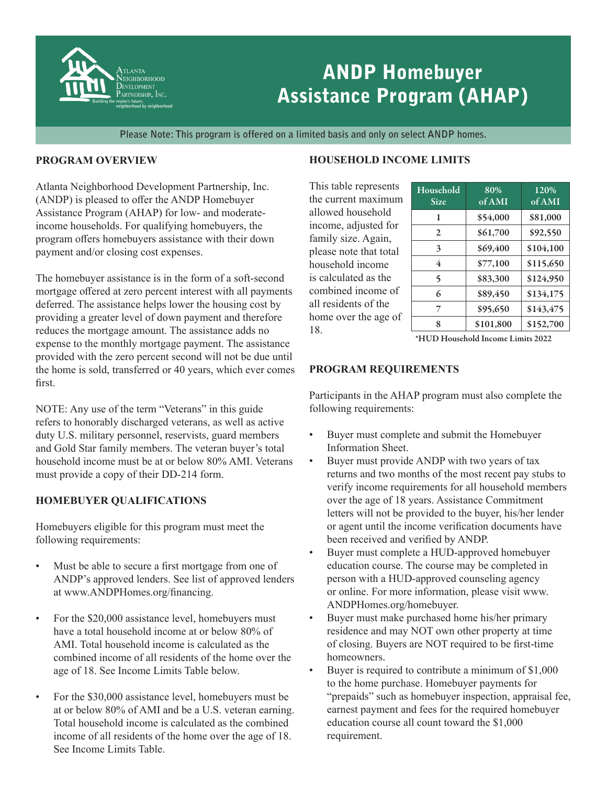

# ANDP Homebuyer Assistance Program (AHAP)

**Please Note: This program is offered on a limited basis and only on select ANDP homes.**

### **PROGRAM OVERVIEW**

Atlanta Neighborhood Development Partnership, Inc. (ANDP) is pleased to offer the ANDP Homebuyer Assistance Program (AHAP) for low- and moderateincome households. For qualifying homebuyers, the program offers homebuyers assistance with their down payment and/or closing cost expenses.

The homebuyer assistance is in the form of a soft-second mortgage offered at zero percent interest with all payments deferred. The assistance helps lower the housing cost by providing a greater level of down payment and therefore reduces the mortgage amount. The assistance adds no expense to the monthly mortgage payment. The assistance provided with the zero percent second will not be due until the home is sold, transferred or 40 years, which ever comes first.

NOTE: Any use of the term "Veterans" in this guide refers to honorably discharged veterans, as well as active duty U.S. military personnel, reservists, guard members and Gold Star family members. The veteran buyer's total household income must be at or below 80% AMI. Veterans must provide a copy of their DD-214 form.

## **HOMEBUYER QUALIFICATIONS**

Homebuyers eligible for this program must meet the following requirements:

- Must be able to secure a first mortgage from one of ANDP's approved lenders. See list of approved lenders at www.ANDPHomes.org/financing.
- For the \$20,000 assistance level, homebuyers must have a total household income at or below 80% of AMI. Total household income is calculated as the combined income of all residents of the home over the age of 18. See Income Limits Table below.
- For the \$30,000 assistance level, homebuyers must be at or below 80% of AMI and be a U.S. veteran earning. Total household income is calculated as the combined income of all residents of the home over the age of 18. See Income Limits Table.

# **HOUSEHOLD INCOME LIMITS**

This table represents the current maximum allowed household income, adjusted for family size. Again, please note that total household income is calculated as the combined income of all residents of the home over the age of 18.

| Household<br>Size | 80%<br>of AMI | 120%<br>of AMI |
|-------------------|---------------|----------------|
| 1                 | \$54,000      | \$81,000       |
| $\mathfrak{D}$    | \$61,700      | \$92,550       |
| 3                 | \$69,400      | \$104,100      |
| 4                 | \$77,100      | \$115,650      |
| 5                 | \$83,300      | \$124,950      |
| 6                 | \$89,450      | \$134,175      |
| 7                 | \$95,650      | \$143,475      |
| 8                 | \$101,800     | \$152,700      |

\*HUD Household Income Limits 2022

## **PROGRAM REQUIREMENTS**

Participants in the AHAP program must also complete the following requirements:

- Buyer must complete and submit the Homebuyer Information Sheet.
- Buyer must provide ANDP with two years of tax returns and two months of the most recent pay stubs to verify income requirements for all household members over the age of 18 years. Assistance Commitment letters will not be provided to the buyer, his/her lender or agent until the income verification documents have been received and verified by ANDP.
- Buyer must complete a HUD-approved homebuyer education course. The course may be completed in person with a HUD-approved counseling agency or online. For more information, please visit www. ANDPHomes.org/homebuyer.
- Buyer must make purchased home his/her primary residence and may NOT own other property at time of closing. Buyers are NOT required to be first-time homeowners.
- Buyer is required to contribute a minimum of \$1,000 to the home purchase. Homebuyer payments for "prepaids" such as homebuyer inspection, appraisal fee, earnest payment and fees for the required homebuyer education course all count toward the \$1,000 requirement.